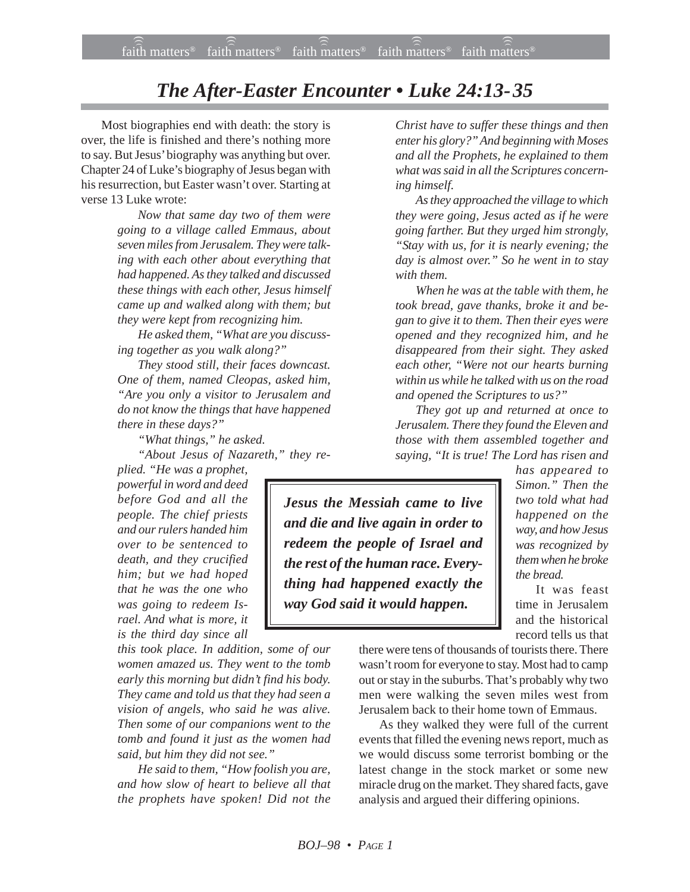## *The After-Easter Encounter • Luke 24:13-35*

Most biographies end with death: the story is over, the life is finished and there's nothing more to say. But Jesus' biography was anything but over. Chapter 24 of Luke's biography of Jesus began with his resurrection, but Easter wasn't over. Starting at verse 13 Luke wrote:

> *Now that same day two of them were going to a village called Emmaus, about seven miles from Jerusalem. They were talking with each other about everything that had happened. As they talked and discussed these things with each other, Jesus himself came up and walked along with them; but they were kept from recognizing him.*

*He asked them, "What are you discussing together as you walk along?"*

*They stood still, their faces downcast. One of them, named Cleopas, asked him, "Are you only a visitor to Jerusalem and do not know the things that have happened there in these days?"*

*"What things," he asked.*

*"About Jesus of Nazareth," they re-*

*plied. "He was a prophet, powerful in word and deed before God and all the people. The chief priests and our rulers handed him over to be sentenced to death, and they crucified him; but we had hoped that he was the one who was going to redeem Israel. And what is more, it is the third day since all*

*this took place. In addition, some of our women amazed us. They went to the tomb early this morning but didn't find his body. They came and told us that they had seen a vision of angels, who said he was alive. Then some of our companions went to the tomb and found it just as the women had said, but him they did not see."*

*He said to them, "How foolish you are, and how slow of heart to believe all that the prophets have spoken! Did not the* *Christ have to suffer these things and then enter his glory?" And beginning with Moses and all the Prophets, he explained to them what was said in all the Scriptures concerning himself.*

*As they approached the village to which they were going, Jesus acted as if he were going farther. But they urged him strongly, "Stay with us, for it is nearly evening; the day is almost over." So he went in to stay with them.*

*When he was at the table with them, he took bread, gave thanks, broke it and began to give it to them. Then their eyes were opened and they recognized him, and he disappeared from their sight. They asked each other, "Were not our hearts burning within us while he talked with us on the road and opened the Scriptures to us?"*

*They got up and returned at once to Jerusalem. There they found the Eleven and those with them assembled together and saying, "It is true! The Lord has risen and*

*Jesus the Messiah came to live and die and live again in order to redeem the people of Israel and the rest of the human race. Everything had happened exactly the way God said it would happen.*

*has appeared to Simon." Then the two told what had happened on the way, and how Jesus was recognized by them when he broke the bread.*

It was feast time in Jerusalem and the historical record tells us that

there were tens of thousands of tourists there. There wasn't room for everyone to stay. Most had to camp out or stay in the suburbs. That's probably why two men were walking the seven miles west from Jerusalem back to their home town of Emmaus.

As they walked they were full of the current events that filled the evening news report, much as we would discuss some terrorist bombing or the latest change in the stock market or some new miracle drug on the market. They shared facts, gave analysis and argued their differing opinions.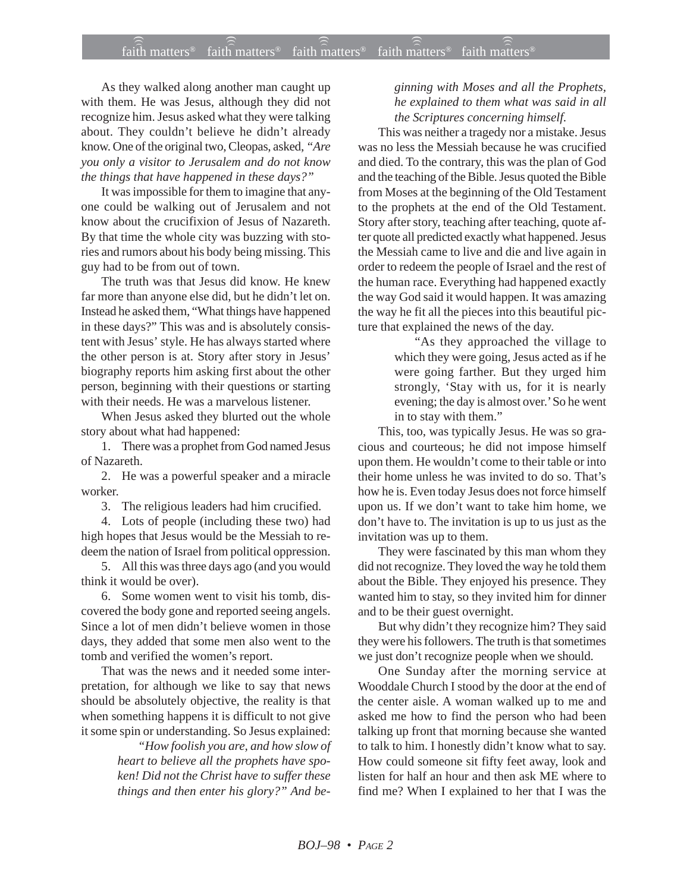## $f$ ait $\widehat{\widehat{\widehat{\mathfrak{n}}}}$  matters®  $\widehat{\widehat{\mathfrak{n}}}$  matters®  $\widehat{\widehat{\mathfrak{n}}}$  atth matters®  $\widehat{\widehat{\mathfrak{n}}}$  atters®  $\widehat{\widehat{\mathfrak{n}}}$

As they walked along another man caught up with them. He was Jesus, although they did not recognize him. Jesus asked what they were talking about. They couldn't believe he didn't already know. One of the original two, Cleopas, asked, *"Are you only a visitor to Jerusalem and do not know the things that have happened in these days?"*

It was impossible for them to imagine that anyone could be walking out of Jerusalem and not know about the crucifixion of Jesus of Nazareth. By that time the whole city was buzzing with stories and rumors about his body being missing. This guy had to be from out of town.

The truth was that Jesus did know. He knew far more than anyone else did, but he didn't let on. Instead he asked them, "What things have happened in these days?" This was and is absolutely consistent with Jesus' style. He has always started where the other person is at. Story after story in Jesus' biography reports him asking first about the other person, beginning with their questions or starting with their needs. He was a marvelous listener.

When Jesus asked they blurted out the whole story about what had happened:

1. There was a prophet from God named Jesus of Nazareth.

2. He was a powerful speaker and a miracle worker.

3. The religious leaders had him crucified.

4. Lots of people (including these two) had high hopes that Jesus would be the Messiah to redeem the nation of Israel from political oppression.

5. All this was three days ago (and you would think it would be over).

6. Some women went to visit his tomb, discovered the body gone and reported seeing angels. Since a lot of men didn't believe women in those days, they added that some men also went to the tomb and verified the women's report.

That was the news and it needed some interpretation, for although we like to say that news should be absolutely objective, the reality is that when something happens it is difficult to not give it some spin or understanding. So Jesus explained:

> *"How foolish you are, and how slow of heart to believe all the prophets have spoken! Did not the Christ have to suffer these things and then enter his glory?" And be-*

## *ginning with Moses and all the Prophets, he explained to them what was said in all the Scriptures concerning himself.*

This was neither a tragedy nor a mistake. Jesus was no less the Messiah because he was crucified and died. To the contrary, this was the plan of God and the teaching of the Bible. Jesus quoted the Bible from Moses at the beginning of the Old Testament to the prophets at the end of the Old Testament. Story after story, teaching after teaching, quote after quote all predicted exactly what happened. Jesus the Messiah came to live and die and live again in order to redeem the people of Israel and the rest of the human race. Everything had happened exactly the way God said it would happen. It was amazing the way he fit all the pieces into this beautiful picture that explained the news of the day.

"As they approached the village to which they were going, Jesus acted as if he were going farther. But they urged him strongly, 'Stay with us, for it is nearly evening; the day is almost over.' So he went in to stay with them."

This, too, was typically Jesus. He was so gracious and courteous; he did not impose himself upon them. He wouldn't come to their table or into their home unless he was invited to do so. That's how he is. Even today Jesus does not force himself upon us. If we don't want to take him home, we don't have to. The invitation is up to us just as the invitation was up to them.

They were fascinated by this man whom they did not recognize. They loved the way he told them about the Bible. They enjoyed his presence. They wanted him to stay, so they invited him for dinner and to be their guest overnight.

But why didn't they recognize him? They said they were his followers. The truth is that sometimes we just don't recognize people when we should.

One Sunday after the morning service at Wooddale Church I stood by the door at the end of the center aisle. A woman walked up to me and asked me how to find the person who had been talking up front that morning because she wanted to talk to him. I honestly didn't know what to say. How could someone sit fifty feet away, look and listen for half an hour and then ask ME where to find me? When I explained to her that I was the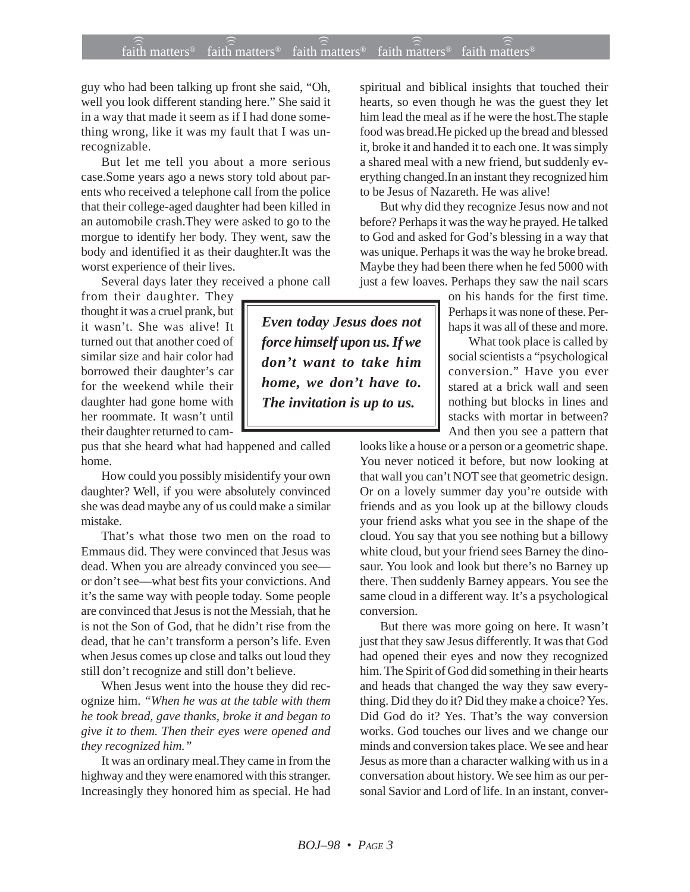## $f$ ait $\widehat{\widehat{\widehat{\mathfrak{n}}}}$  matters®  $\widehat{\widehat{\mathfrak{n}}}$  matters®  $\widehat{\widehat{\mathfrak{n}}}$  atth matters®  $\widehat{\widehat{\mathfrak{n}}}$  atters®  $\widehat{\widehat{\mathfrak{n}}}$

guy who had been talking up front she said, "Oh, well you look different standing here." She said it in a way that made it seem as if I had done something wrong, like it was my fault that I was unrecognizable.

But let me tell you about a more serious case.Some years ago a news story told about parents who received a telephone call from the police that their college-aged daughter had been killed in an automobile crash.They were asked to go to the morgue to identify her body. They went, saw the body and identified it as their daughter.It was the worst experience of their lives.

Several days later they received a phone call

from their daughter. They thought it was a cruel prank, but it wasn't. She was alive! It turned out that another coed of similar size and hair color had borrowed their daughter's car for the weekend while their daughter had gone home with her roommate. It wasn't until their daughter returned to cam-

pus that she heard what had happened and called home.

How could you possibly misidentify your own daughter? Well, if you were absolutely convinced she was dead maybe any of us could make a similar mistake.

That's what those two men on the road to Emmaus did. They were convinced that Jesus was dead. When you are already convinced you see or don't see—what best fits your convictions. And it's the same way with people today. Some people are convinced that Jesus is not the Messiah, that he is not the Son of God, that he didn't rise from the dead, that he can't transform a person's life. Even when Jesus comes up close and talks out loud they still don't recognize and still don't believe.

When Jesus went into the house they did recognize him. *"When he was at the table with them he took bread, gave thanks, broke it and began to give it to them. Then their eyes were opened and they recognized him."*

It was an ordinary meal.They came in from the highway and they were enamored with this stranger. Increasingly they honored him as special. He had spiritual and biblical insights that touched their hearts, so even though he was the guest they let him lead the meal as if he were the host.The staple food was bread.He picked up the bread and blessed it, broke it and handed it to each one. It was simply a shared meal with a new friend, but suddenly everything changed.In an instant they recognized him to be Jesus of Nazareth. He was alive!

But why did they recognize Jesus now and not before? Perhaps it was the way he prayed. He talked to God and asked for God's blessing in a way that was unique. Perhaps it was the way he broke bread. Maybe they had been there when he fed 5000 with just a few loaves. Perhaps they saw the nail scars

> on his hands for the first time. Perhaps it was none of these. Perhaps it was all of these and more.

> What took place is called by social scientists a "psychological conversion." Have you ever stared at a brick wall and seen nothing but blocks in lines and stacks with mortar in between? And then you see a pattern that

looks like a house or a person or a geometric shape. You never noticed it before, but now looking at that wall you can't NOT see that geometric design. Or on a lovely summer day you're outside with friends and as you look up at the billowy clouds your friend asks what you see in the shape of the cloud. You say that you see nothing but a billowy white cloud, but your friend sees Barney the dinosaur. You look and look but there's no Barney up there. Then suddenly Barney appears. You see the same cloud in a different way. It's a psychological conversion.

But there was more going on here. It wasn't just that they saw Jesus differently. It was that God had opened their eyes and now they recognized him. The Spirit of God did something in their hearts and heads that changed the way they saw everything. Did they do it? Did they make a choice? Yes. Did God do it? Yes. That's the way conversion works. God touches our lives and we change our minds and conversion takes place. We see and hear Jesus as more than a character walking with us in a conversation about history. We see him as our personal Savior and Lord of life. In an instant, conver-

*Even today Jesus does not force himself upon us. If we don't want to take him home, we don't have to. The invitation is up to us.*